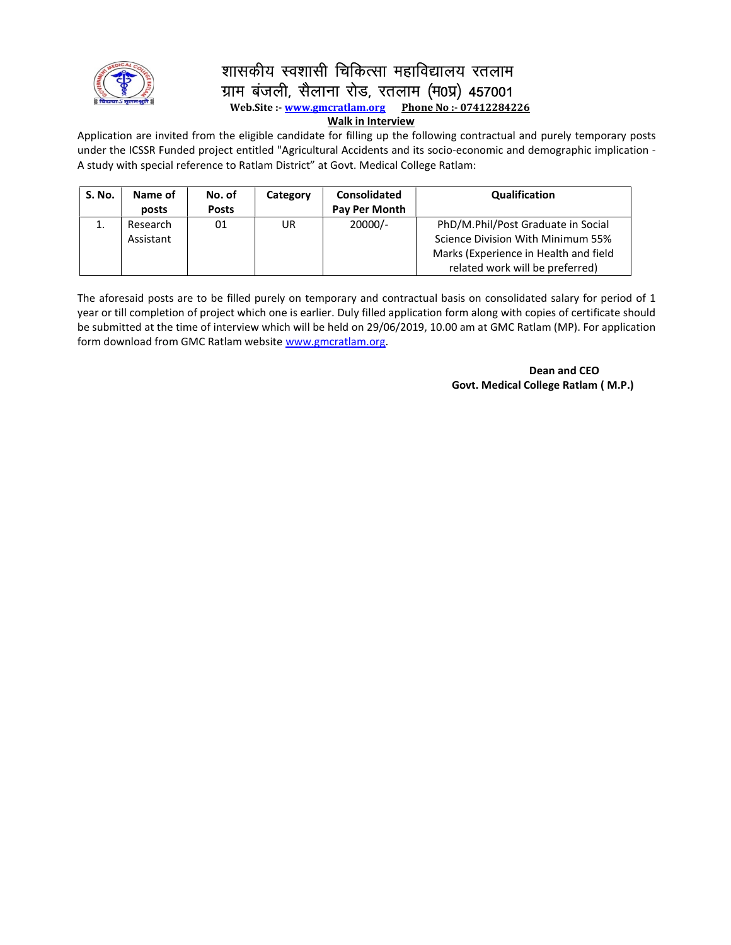

# शासकीय स्वशासी चिकित्सा महाविद्यालय रतलाम ग्राम बंजली, सैलाना रोड, रतलाम (म0प्र) 457001<br>Web.Site:- www.gmcratlam.org Phone No:- 07412284226

Web.Site :- www.gmcratlam.org

#### Walk in Interview

Application are invited from the eligible candidate for filling up the following contractual and purely temporary posts under the ICSSR Funded project entitled "Agricultural Accidents and its socio-economic and demographic implication - A study with special reference to Ratlam District" at Govt. Medical College Ratlam:

| S. No. | Name of<br>posts      | No. of<br><b>Posts</b> | Category | <b>Consolidated</b><br>Pay Per Month | Qualification                                                                                                                                       |
|--------|-----------------------|------------------------|----------|--------------------------------------|-----------------------------------------------------------------------------------------------------------------------------------------------------|
| 1.     | Research<br>Assistant | 01                     | UR       | $20000/-$                            | PhD/M.Phil/Post Graduate in Social<br>Science Division With Minimum 55%<br>Marks (Experience in Health and field<br>related work will be preferred) |

The aforesaid posts are to be filled purely on temporary and contractual basis on consolidated salary for period of 1 year or till completion of project which one is earlier. Duly filled application form along with copies of certificate should be submitted at the time of interview which will be held on 29/06/2019, 10.00 am at GMC Ratlam (MP). For application form download from GMC Ratlam website www.gmcratlam.org.

> Dean and CEO Govt. Medical College Ratlam ( M.P.)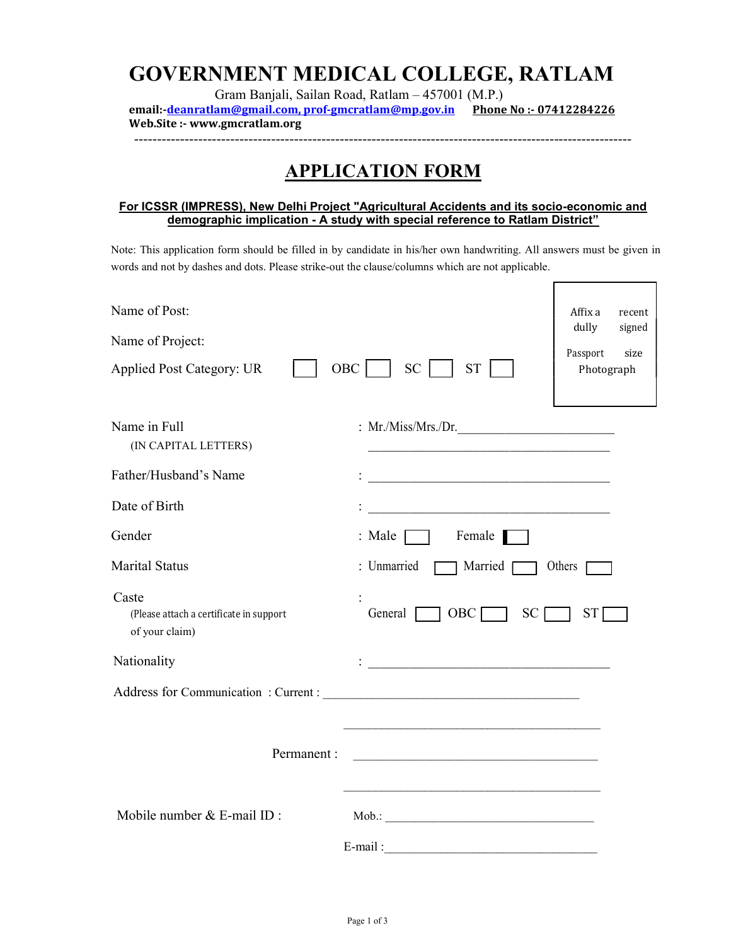## GOVERNMENT MEDICAL COLLEGE, RATLAM

Gram Banjali, Sailan Road, Ratlam – 457001 (M.P.) email:-deanratlam@gmail.com, prof-gmcratlam@mp.gov.in Phone No :- 07412284226 Web.Site :- www.gmcratlam.org

-------------------------------------------------------------------------------------------------------------

### APPLICATION FORM

#### For ICSSR (IMPRESS), New Delhi Project "Agricultural Accidents and its socio-economic and demographic implication - A study with special reference to Ratlam District"

Note: This application form should be filled in by candidate in his/her own handwriting. All answers must be given in words and not by dashes and dots. Please strike-out the clause/columns which are not applicable.

| Name of Post:                                             | Affix a<br>recent                                                                                                         |
|-----------------------------------------------------------|---------------------------------------------------------------------------------------------------------------------------|
|                                                           | dully<br>signed                                                                                                           |
| Name of Project:                                          | Passport<br>size                                                                                                          |
| <b>Applied Post Category: UR</b>                          | $OBC$  <br>SC  <br><b>ST</b><br>Photograph                                                                                |
|                                                           |                                                                                                                           |
| Name in Full                                              | : Mr./Miss/Mrs./Dr.                                                                                                       |
| (IN CAPITAL LETTERS)                                      |                                                                                                                           |
| Father/Husband's Name                                     | <u> 1989 - Johann Barbara, martxa alemaniar arg</u>                                                                       |
| Date of Birth                                             | <u> 1989 - Johann John Stone, mars et al. (1989)</u>                                                                      |
| Gender                                                    | $:$ Male $\Box$ Female                                                                                                    |
| <b>Marital Status</b>                                     | : Unmarried<br>$\Box$ Married $\Box$<br>Others [                                                                          |
| Caste                                                     |                                                                                                                           |
| (Please attach a certificate in support<br>of your claim) | General $\Box$<br>$OBC$ $\Box$<br>SC<br>ST I                                                                              |
| Nationality                                               | <u> 1989 - Jan James James Barnett, amerikansk politik (d. 1989)</u>                                                      |
|                                                           |                                                                                                                           |
|                                                           |                                                                                                                           |
| Permanent :                                               | <u> 2002 - Jan James James Jan James James James James James James James James James James James James James James Ja</u> |
|                                                           |                                                                                                                           |
| Mobile number & E-mail ID:                                | Mob.: November 2014                                                                                                       |
|                                                           | E-mail:                                                                                                                   |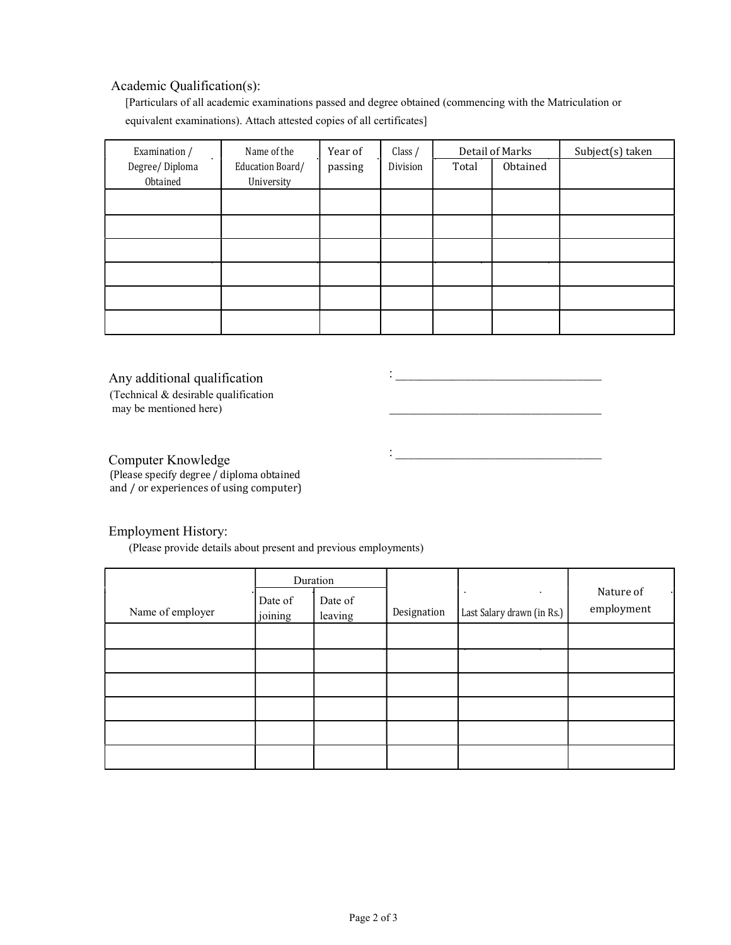#### Academic Qualification(s):

[Particulars of all academic examinations passed and degree obtained (commencing with the Matriculation or equivalent examinations). Attach attested copies of all certificates]

| Examination /  | Name of the<br>Year of |         | Class $/$ | Detail of Marks |          | Subject(s) taken |
|----------------|------------------------|---------|-----------|-----------------|----------|------------------|
| Degree/Diploma | Education Board/       | passing | Division  | Total           | Obtained |                  |
| Obtained       | University             |         |           |                 |          |                  |
|                |                        |         |           |                 |          |                  |
|                |                        |         |           |                 |          |                  |
|                |                        |         |           |                 |          |                  |
|                |                        |         |           |                 |          |                  |
|                |                        |         |           |                 |          |                  |
|                |                        |         |           |                 |          |                  |
|                |                        |         |           |                 |          |                  |
|                |                        |         |           |                 |          |                  |

: \_\_\_\_\_\_\_\_\_\_\_\_\_\_\_\_\_\_\_\_\_\_\_\_\_\_\_\_\_\_\_\_\_ \_\_\_\_\_\_\_\_\_\_\_\_\_\_\_\_\_\_\_\_\_\_\_\_\_\_\_\_\_\_\_\_\_

: where the contribution of the contribution of  $\mathcal{L}_\mathcal{L}$ 

#### Any additional qualification

(Technical & desirable qualification may be mentioned here)

Computer Knowledge (Please specify degree / diploma obtained and / or experiences of using computer)

#### Employment History:

(Please provide details about present and previous employments)

|                  | Duration           |                    |             |                            |                         |
|------------------|--------------------|--------------------|-------------|----------------------------|-------------------------|
| Name of employer | Date of<br>joining | Date of<br>leaving | Designation | Last Salary drawn (in Rs.) | Nature of<br>employment |
|                  |                    |                    |             |                            |                         |
|                  |                    |                    |             |                            |                         |
|                  |                    |                    |             |                            |                         |
|                  |                    |                    |             |                            |                         |
|                  |                    |                    |             |                            |                         |
|                  |                    |                    |             |                            |                         |